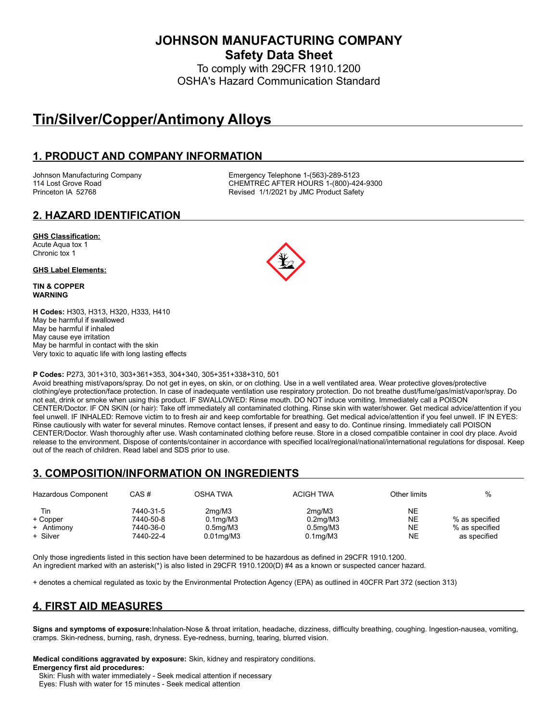**JOHNSON MANUFACTURING COMPANY Safety Data Sheet**

To comply with 29CFR 1910.1200 OSHA's Hazard Communication Standard

# **Tin/Silver/Copper/Antimony Alloys**

### **1. PRODUCT AND COMPANY INFORMATION**

Johnson Manufacturing Company **Emergency Telephone 1-(563)-289-5123**<br>114 Lost Grove Road **CHEMTREC AFTER HOURS 1-(800)-42** CHEMTREC AFTER HOURS 1-(800)-424-9300 Princeton IA 52768 **Revised 1/1/2021 by JMC Product Safety** 

# **2. HAZARD IDENTIFICATION**

#### **GHS Classification:**

Acute Aqua tox 1 Chronic tox 1

#### **GHS Label Elements:**

**TIN & COPPER WARNING**

**H Codes:** H303, H313, H320, H333, H410 May be harmful if swallowed May be harmful if inhaled May cause eye irritation May be harmful in contact with the skin Very toxic to aquatic life with long lasting effects

#### **P Codes:** P273, 301+310, 303+361+353, 304+340, 305+351+338+310, 501

Avoid breathing mist/vapors/spray. Do not get in eyes, on skin, or on clothing. Use in a well ventilated area. Wear protective gloves/protective clothing/eye protection/face protection. In case of inadequate ventilation use respiratory protection. Do not breathe dust/fume/gas/mist/vapor/spray. Do not eat, drink or smoke when using this product. IF SWALLOWED: Rinse mouth. DO NOT induce vomiting. Immediately call a POISON CENTER/Doctor. IF ON SKIN (or hair): Take off immediately all contaminated clothing. Rinse skin with water/shower. Get medical advice/attention if you feel unwell. IF INHALED: Remove victim to to fresh air and keep comfortable for breathing. Get medical advice/attention if you feel unwell. IF IN EYES: Rinse cautiously with water for several minutes. Remove contact lenses, if present and easy to do. Continue rinsing. Immediately call POISON CENTER/Doctor. Wash thoroughly after use. Wash contaminated clothing before reuse. Store in a closed compatible container in cool dry place. Avoid release to the environment. Dispose of contents/container in accordance with specified local/regional/national/international regulations for disposal. Keep out of the reach of children. Read label and SDS prior to use.

# **3. COMPOSITION/INFORMATION ON INGREDIENTS**

| Hazardous Component                       | CAS#                                             | OSHA TWA                                                                          | <b>ACIGH TWA</b>                                                    | Other limits                                     | %                                                |
|-------------------------------------------|--------------------------------------------------|-----------------------------------------------------------------------------------|---------------------------------------------------------------------|--------------------------------------------------|--------------------------------------------------|
| Tin<br>+ Copper<br>+ Antimony<br>+ Silver | 7440-31-5<br>7440-50-8<br>7440-36-0<br>7440-22-4 | 2 <sub>mq</sub> /M3<br>$0.1$ mg/M $3$<br>0.5 <sub>mq</sub> /M3<br>$0.01$ mg/M $3$ | 2mq/M3<br>$0.2$ mg/M $3$<br>0.5 <sub>mq</sub> /M3<br>$0.1$ mg/M $3$ | <b>NE</b><br><b>NE</b><br><b>NE</b><br><b>NE</b> | % as specified<br>% as specified<br>as specified |

Only those ingredients listed in this section have been determined to be hazardous as defined in 29CFR 1910.1200. An ingredient marked with an asterisk(\*) is also listed in 29CFR 1910.1200(D) #4 as a known or suspected cancer hazard.

+ denotes a chemical regulated as toxic by the Environmental Protection Agency (EPA) as outlined in 40CFR Part 372 (section 313)

# **4. FIRST AID MEASURES**

**Signs and symptoms of exposure:**Inhalation-Nose & throat irritation, headache, dizziness, difficulty breathing, coughing. Ingestion-nausea, vomiting, cramps. Skin-redness, burning, rash, dryness. Eye-redness, burning, tearing, blurred vision.

**Medical conditions aggravated by exposure:** Skin, kidney and respiratory conditions. **Emergency first aid procedures:**

Skin: Flush with water immediately - Seek medical attention if necessary

Eyes: Flush with water for 15 minutes - Seek medical attention

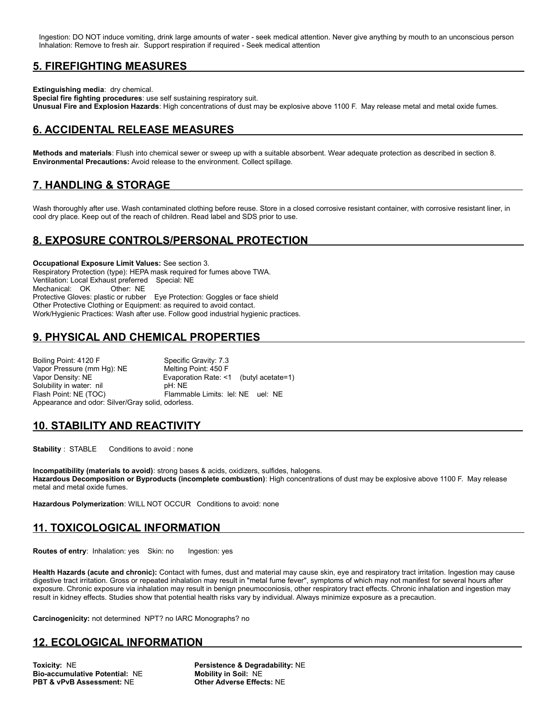Ingestion: DO NOT induce vomiting, drink large amounts of water - seek medical attention. Never give anything by mouth to an unconscious person Inhalation: Remove to fresh air. Support respiration if required - Seek medical attention

### **5. FIREFIGHTING MEASURES**

**Extinguishing media**: dry chemical.

**Special fire fighting procedures**: use self sustaining respiratory suit. **Unusual Fire and Explosion Hazards**: High concentrations of dust may be explosive above 1100 F. May release metal and metal oxide fumes.

# **6. ACCIDENTAL RELEASE MEASURES**

**Methods and materials**: Flush into chemical sewer or sweep up with a suitable absorbent. Wear adequate protection as described in section 8. **Environmental Precautions:** Avoid release to the environment. Collect spillage.

# **7. HANDLING & STORAGE**

Wash thoroughly after use. Wash contaminated clothing before reuse. Store in a closed corrosive resistant container, with corrosive resistant liner, in cool dry place. Keep out of the reach of children. Read label and SDS prior to use.

# **8. EXPOSURE CONTROLS/PERSONAL PROTECTION**

**Occupational Exposure Limit Values:** See section 3. Respiratory Protection (type): HEPA mask required for fumes above TWA. Ventilation: Local Exhaust preferred Special: NE Mechanical: OK Other: NE Protective Gloves: plastic or rubber Eye Protection: Goggles or face shield Other Protective Clothing or Equipment: as required to avoid contact. Work/Hygienic Practices: Wash after use. Follow good industrial hygienic practices.

### **9. PHYSICAL AND CHEMICAL PROPERTIES**

Boiling Point: 4120 F<br>
Vapor Pressure (mm Hq): NE Melting Point: 450 F Vapor Pressure (mm Hg): NE Vapor Density: NE <br>
Solubility in water: nil <br>
pH: NE<br>
pH: NE Solubility in water: nil Flash Point: NE (TOC) Flammable Limits: lel: NE uel: NE Appearance and odor: Silver/Gray solid, odorless.

### **10. STABILITY AND REACTIVITY**

**Stability** : STABLE Conditions to avoid : none

**Incompatibility (materials to avoid)**: strong bases & acids, oxidizers, sulfides, halogens. **Hazardous Decomposition or Byproducts (incomplete combustion)**: High concentrations of dust may be explosive above 1100 F. May release metal and metal oxide fumes.

**Hazardous Polymerization**: WILL NOT OCCUR Conditions to avoid: none

### **11. TOXICOLOGICAL INFORMATION**

**Routes of entry: Inhalation: yes Skin: no Ingestion: yes** 

**Health Hazards (acute and chronic):** Contact with fumes, dust and material may cause skin, eye and respiratory tract irritation. Ingestion may cause digestive tract irritation. Gross or repeated inhalation may result in "metal fume fever", symptoms of which may not manifest for several hours after exposure. Chronic exposure via inhalation may result in benign pneumoconiosis, other respiratory tract effects. Chronic inhalation and ingestion may result in kidney effects. Studies show that potential health risks vary by individual. Always minimize exposure as a precaution.

**Carcinogenicity:** not determined NPT? no IARC Monographs? no

### **12. ECOLOGICAL INFORMATION**

**Toxicity: NE**<br> **Bio-accumulative Potential: NE**<br> **Robility in Soil: NE**<br> **Mobility in Soil: NE Bio-accumulative Potential: NE PBT & vPvB Assessment:** NE **Other Adverse Effects:** NE